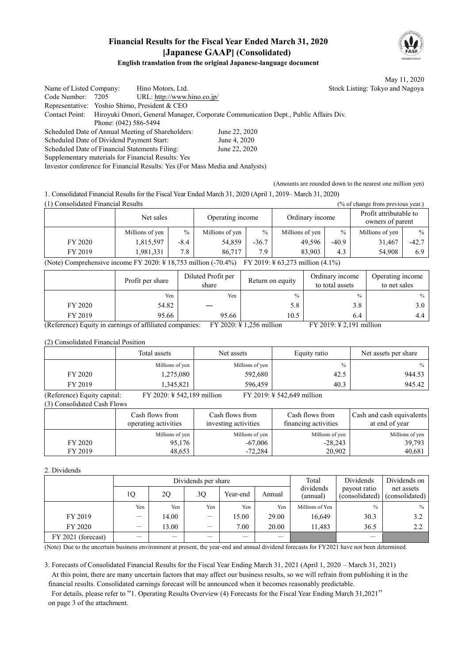## **Financial Results for the Fiscal Year Ended March 31, 2020 [Japanese GAAP] (Consolidated)**



May 11, 2020

## **English translation from the original Japanese-language document**

Name of Listed Company: Hino Motors, Ltd. Stock Listing: Tokyo and Nagoya Code Number: 7205 URL: http://www.hino.co.jp/ Representative: Yoshio Shimo, President & CEO Contact Point: Hiroyuki Omori, General Manager, Corporate Communication Dept., Public Affairs Div. Phone: (042) 586-5494 Scheduled Date of Annual Meeting of Shareholders: June 22, 2020 Scheduled Date of Dividend Payment Start: June 4, 2020 Scheduled Date of Financial Statements Filing: June 22, 2020 Supplementary materials for Financial Results: Yes Investor conference for Financial Results: Yes (For Mass Media and Analysts)

(Amounts are rounded down to the nearest one million yen)

1. Consolidated Financial Results for the Fiscal Year Ended March 31, 2020 (April 1, 2019– March 31, 2020)

(1) Consolidated Financial Results (% of change from previous year.)

| $11$ consentance I maneral research<br>$\sim$ or enalge from previous year.                                                |                 |        |                  |               |                 |         |                                            |               |  |
|----------------------------------------------------------------------------------------------------------------------------|-----------------|--------|------------------|---------------|-----------------|---------|--------------------------------------------|---------------|--|
|                                                                                                                            | Net sales       |        | Operating income |               | Ordinary income |         | Profit attributable to<br>owners of parent |               |  |
|                                                                                                                            | Millions of yen | $\%$   | Millions of yen  | $\frac{0}{0}$ | Millions of yen | $\%$    | Millions of yen                            | $\frac{0}{0}$ |  |
| FY 2020                                                                                                                    | 1,815,597       | $-8.4$ | 54,859           | $-36.7$       | 49.596          | $-40.9$ | 31.467                                     | $-42.7$       |  |
| FY 2019                                                                                                                    | 1,981,331       | 7.8    | 86.717           | 7.9           | 83,903          | 4.3     | 54,908                                     | 6.9           |  |
| (Note) Comprehensive income FY 2020: $\frac{1}{2}$ 18,753 million (-70.4%)<br>FY 2019: $\frac{1}{2}$ 63,273 million (4.1%) |                 |        |                  |               |                 |         |                                            |               |  |

|         | Profit per share | Diluted Profit per<br>share | Return on equity | Ordinary income<br>to total assets | Operating income<br>to net sales |
|---------|------------------|-----------------------------|------------------|------------------------------------|----------------------------------|
|         | Yen              | Yen                         | $\frac{0}{0}$    | $\%$                               | $\%$                             |
| FY 2020 | 54.82            |                             | 5.8              | 3.8                                | 3.0                              |
| FY 2019 | 95.66            | 95.66                       | 10.5             | 6.4                                | 4.4                              |

(Reference) Equity in earnings of affiliated companies: FY 2020: ¥ 1,256 million FY 2019: ¥ 2,191 million

(2) Consolidated Financial Position

|         | Total assets    | Net assets      | Equity ratio  | Net assets per share |
|---------|-----------------|-----------------|---------------|----------------------|
|         | Millions of yen | Millions of yen | $\frac{0}{0}$ | $\%$                 |
| FY 2020 | 1,275,080       | 592,680         | 42.5          | 944.53               |
| FY 2019 | .345,821        | 596.459         | 40.3          | 945.42               |

(Reference) Equity capital: FY 2020: ¥ 542,189 million FY 2019: ¥ 542,649 million (3) Consolidated Cash Flows

|         | Cash flows from<br>operating activities | Cash flows from<br>investing activities | Cash flows from<br>financing activities | Cash and cash equivalents<br>at end of year |  |
|---------|-----------------------------------------|-----------------------------------------|-----------------------------------------|---------------------------------------------|--|
|         | Millions of yen                         | Millions of yen                         | Millions of yen                         | Millions of yen                             |  |
| FY 2020 | 95,176                                  | $-67,006$                               | $-28,243$                               | 39,793                                      |  |
| FY 2019 | 48,653                                  | $-72.284$                               | 20.902                                  | 40,681                                      |  |

## 2. Dividends

|                    | Total                    | Dividends | Dividends on             |          |        |                       |                                |                              |
|--------------------|--------------------------|-----------|--------------------------|----------|--------|-----------------------|--------------------------------|------------------------------|
|                    | 10                       | 2Q        | 30                       | Year-end | Annual | dividends<br>(annual) | payout ratio<br>(consolidated) | net assets<br>(consolidated) |
|                    | Yen                      | Yen       | Yen                      | Yen      | Yen    | Millions of Yen       | $\frac{0}{0}$                  | $\%$                         |
| FY 2019            |                          | 14.00     | $\overline{\phantom{0}}$ | 15.00    | 29.00  | 16,649                | 30.3                           | 3.2                          |
| FY 2020            | $\overline{\phantom{m}}$ | 13.00     |                          | 7.00     | 20.00  | 11,483                | 36.5                           | 2.2                          |
| FY 2021 (forecast) |                          |           |                          |          |        |                       |                                |                              |

(Note) Due to the uncertain business environment at present, the year-end and annual dividend forecasts for FY2021 have not been determined.

3. Forecasts of Consolidated Financial Results for the Fiscal Year Ending March 31, 2021 (April 1, 2020 – March 31, 2021) At this point, there are many uncertain factors that may affect our business results, so we will refrain from publishing it in the financial results. Consolidated earnings forecast will be announced when it becomes reasonably predictable.

For details, please refer to "1. Operating Results Overview (4) Forecasts for the Fiscal Year Ending March 31,2021" on page 3 of the attachment.